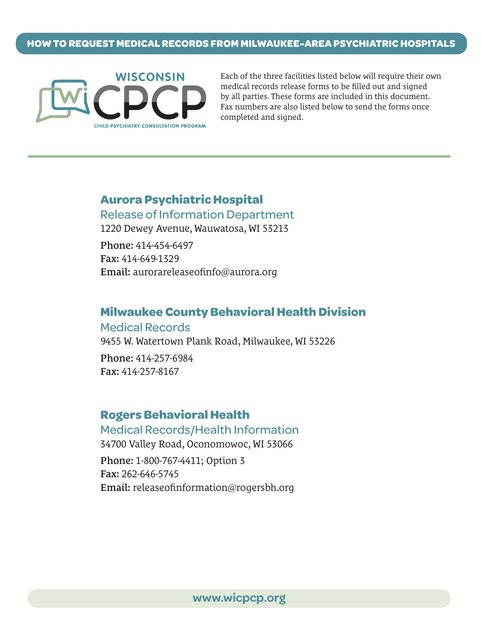

Each of the three facilities listed below will require their own medical records release forms to be filled out and signed by all parties. These forms are included in this document. Fax numbers are also listed below to send the forms once completed and signed.

# **Aurora Psychiatric Hospital** Release of Information Department

1220 Dewey Avenue, Wauwatosa, WI 53213

Phone: 414-454-6497 Fax: 414-649-1329 Email: aurorareleaseofinfo@aurora.org

## **Milwaukee County Behavioral Health Division**

Medical Records 9455 W. Watertown Plank Road, Milwaukee, WI 53226

Phone: 414-257-6984 Fax: 414-257-8167

## **Rogers Behavioral Health**

Medical Records/Health Information 34700 Valley Road, Oconomowoc, WI 53066 Phone: 1-800-767-4411; Option 3 Fax: 262-646-5745 Email: releaseofinformation@rogersbh.org

**www.wicpcp.org**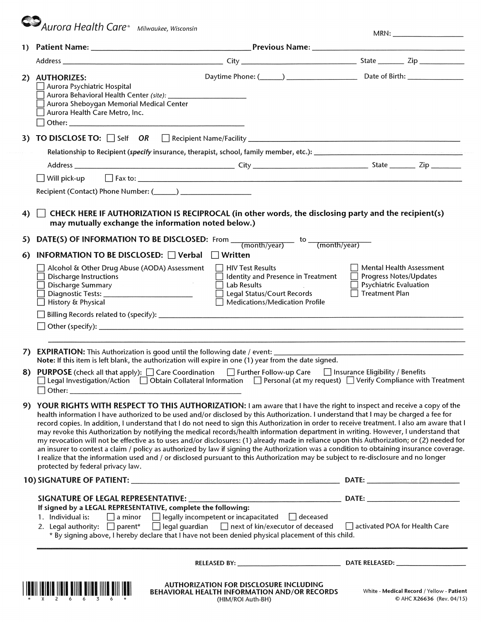**CO** Aurora Health Care<sup>®</sup> Milwaukee, Wisconsin

| MRN: |  |
|------|--|
|------|--|

|    | 2) AUTHORIZES:<br>Aurora Psychiatric Hospital<br>Aurora Sheboygan Memorial Medical Center<br>Aurora Health Care Metro, Inc.                                                                                                                                                                                                                                                                                                                                                                                                                                                                                                                                                                                                                                                                                                                                                                                                                                                                                                 |                                                                                                    |                                                                                                       |
|----|-----------------------------------------------------------------------------------------------------------------------------------------------------------------------------------------------------------------------------------------------------------------------------------------------------------------------------------------------------------------------------------------------------------------------------------------------------------------------------------------------------------------------------------------------------------------------------------------------------------------------------------------------------------------------------------------------------------------------------------------------------------------------------------------------------------------------------------------------------------------------------------------------------------------------------------------------------------------------------------------------------------------------------|----------------------------------------------------------------------------------------------------|-------------------------------------------------------------------------------------------------------|
| 3) | TO DISCLOSE TO: Self OR Recipient Name/Facility _________________________________                                                                                                                                                                                                                                                                                                                                                                                                                                                                                                                                                                                                                                                                                                                                                                                                                                                                                                                                           |                                                                                                    |                                                                                                       |
|    | Relationship to Recipient (specify insurance, therapist, school, family member, etc.): <b>Supply and the contract of the contract of the contract of the contract of the contract of the contract of the contract of the contrac</b>                                                                                                                                                                                                                                                                                                                                                                                                                                                                                                                                                                                                                                                                                                                                                                                        |                                                                                                    |                                                                                                       |
|    |                                                                                                                                                                                                                                                                                                                                                                                                                                                                                                                                                                                                                                                                                                                                                                                                                                                                                                                                                                                                                             |                                                                                                    |                                                                                                       |
|    | $\bigsqcup$ Will pick-up                                                                                                                                                                                                                                                                                                                                                                                                                                                                                                                                                                                                                                                                                                                                                                                                                                                                                                                                                                                                    |                                                                                                    |                                                                                                       |
|    |                                                                                                                                                                                                                                                                                                                                                                                                                                                                                                                                                                                                                                                                                                                                                                                                                                                                                                                                                                                                                             |                                                                                                    |                                                                                                       |
| 4) | CHECK HERE IF AUTHORIZATION IS RECIPROCAL (in other words, the disclosing party and the recipient(s)<br>may mutually exchange the information noted below.)                                                                                                                                                                                                                                                                                                                                                                                                                                                                                                                                                                                                                                                                                                                                                                                                                                                                 |                                                                                                    |                                                                                                       |
| 5) | <b>DATE(S) OF INFORMATION TO BE DISCLOSED:</b> From $\frac{1}{(month/year)}$ to $\frac{1}{(month/year)}$                                                                                                                                                                                                                                                                                                                                                                                                                                                                                                                                                                                                                                                                                                                                                                                                                                                                                                                    |                                                                                                    |                                                                                                       |
| 6) | INFORMATION TO BE DISCLOSED: $\Box$ Verbal<br>$\Box$ Written                                                                                                                                                                                                                                                                                                                                                                                                                                                                                                                                                                                                                                                                                                                                                                                                                                                                                                                                                                |                                                                                                    |                                                                                                       |
|    | □ HIV Test Results<br>Alcohol & Other Drug Abuse (AODA) Assessment<br><b>Discharge Instructions</b><br><b>Lab Results</b><br>Discharge Summary<br>Diagnostic Tests: _____________________________<br>History & Physical                                                                                                                                                                                                                                                                                                                                                                                                                                                                                                                                                                                                                                                                                                                                                                                                     | Identity and Presence in Treatment<br>Legal Status/Court Records<br>Medications/Medication Profile | Mental Health Assessment<br>Progress Notes/Updates<br>Psychiatric Evaluation<br><b>Treatment Plan</b> |
|    |                                                                                                                                                                                                                                                                                                                                                                                                                                                                                                                                                                                                                                                                                                                                                                                                                                                                                                                                                                                                                             |                                                                                                    |                                                                                                       |
|    |                                                                                                                                                                                                                                                                                                                                                                                                                                                                                                                                                                                                                                                                                                                                                                                                                                                                                                                                                                                                                             |                                                                                                    |                                                                                                       |
|    |                                                                                                                                                                                                                                                                                                                                                                                                                                                                                                                                                                                                                                                                                                                                                                                                                                                                                                                                                                                                                             |                                                                                                    |                                                                                                       |
| 7) | <b>EXPIRATION:</b> This Authorization is good until the following date / event: ___________<br>Note: If this item is left blank, the authorization will expire in one (1) year from the date signed.                                                                                                                                                                                                                                                                                                                                                                                                                                                                                                                                                                                                                                                                                                                                                                                                                        |                                                                                                    |                                                                                                       |
| 8) | PURPOSE (check all that apply): □ Care Coordination □ Further Follow-up Care □ Insurance Eligibility / Benefits<br>$\Box$ Legal Investigation/Action $\Box$ Obtain Collateral Information $\Box$ Personal (at my request) $\Box$ Verify Compliance with Treatment<br>$\Box$ Other: $\Box$                                                                                                                                                                                                                                                                                                                                                                                                                                                                                                                                                                                                                                                                                                                                   |                                                                                                    |                                                                                                       |
| 9) | YOUR RIGHTS WITH RESPECT TO THIS AUTHORIZATION: I am aware that I have the right to inspect and receive a copy of the<br>health information I have authorized to be used and/or disclosed by this Authorization. I understand that I may be charged a fee for<br>record copies. In addition, I understand that I do not need to sign this Authorization in order to receive treatment. I also am aware that I<br>may revoke this Authorization by notifying the medical records/health information department in writing. However, I understand that<br>my revocation will not be effective as to uses and/or disclosures: (1) already made in reliance upon this Authorization; or (2) needed for<br>an insurer to contest a claim / policy as authorized by law if signing the Authorization was a condition to obtaining insurance coverage.<br>I realize that the information used and / or disclosed pursuant to this Authorization may be subject to re-disclosure and no longer<br>protected by federal privacy law. |                                                                                                    |                                                                                                       |
|    |                                                                                                                                                                                                                                                                                                                                                                                                                                                                                                                                                                                                                                                                                                                                                                                                                                                                                                                                                                                                                             |                                                                                                    |                                                                                                       |
|    |                                                                                                                                                                                                                                                                                                                                                                                                                                                                                                                                                                                                                                                                                                                                                                                                                                                                                                                                                                                                                             |                                                                                                    |                                                                                                       |
|    | If signed by a LEGAL REPRESENTATIVE, complete the following:<br>1. Individual is:<br>$\Box$ a minor<br>$\Box$ legally incompetent or incapacitated $\Box$ deceased<br>□ legal guardian □ next of kin/executor of deceased<br>2. Legal authority: $\Box$ parent*<br>* By signing above, I hereby declare that I have not been denied physical placement of this child.                                                                                                                                                                                                                                                                                                                                                                                                                                                                                                                                                                                                                                                       |                                                                                                    | activated POA for Health Care                                                                         |
|    |                                                                                                                                                                                                                                                                                                                                                                                                                                                                                                                                                                                                                                                                                                                                                                                                                                                                                                                                                                                                                             |                                                                                                    |                                                                                                       |
|    | <b>AUTHORIZATION FOR DISCLOSURE INCLUDING</b><br>BEHAVIORAL HEALTH INFORMATION AND/OR RECORDS<br>(HIM/ROI Auth-BH)                                                                                                                                                                                                                                                                                                                                                                                                                                                                                                                                                                                                                                                                                                                                                                                                                                                                                                          |                                                                                                    | White - Medical Record / Yellow - Patient<br>© AHC X26636 (Rev. 04/15)                                |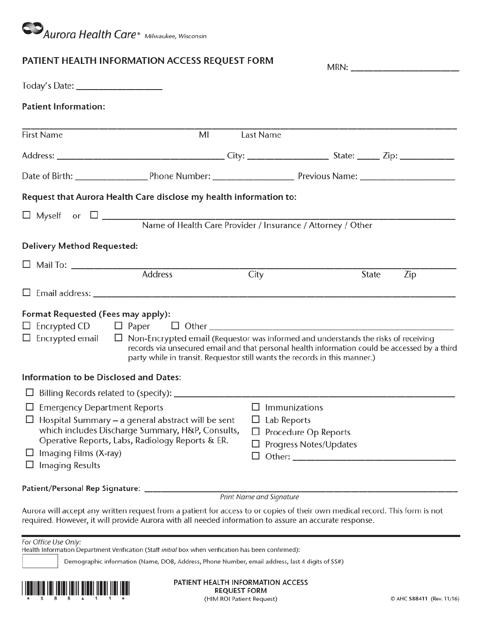

## PATIENT HEALTH INFORMATION ACCESS REQUEST FORM

| PATILINI TILALITI INFONNIATION ACCLESS NEQUEST FONNI                                                                                                                                                     |    |                                                                                                                                                                             |                                                       |       | MRN: _________________________ |
|----------------------------------------------------------------------------------------------------------------------------------------------------------------------------------------------------------|----|-----------------------------------------------------------------------------------------------------------------------------------------------------------------------------|-------------------------------------------------------|-------|--------------------------------|
|                                                                                                                                                                                                          |    |                                                                                                                                                                             |                                                       |       |                                |
| <b>Patient Information:</b>                                                                                                                                                                              |    |                                                                                                                                                                             |                                                       |       |                                |
| <b>First Name</b>                                                                                                                                                                                        | MI | Last Name                                                                                                                                                                   |                                                       |       |                                |
|                                                                                                                                                                                                          |    |                                                                                                                                                                             |                                                       |       |                                |
|                                                                                                                                                                                                          |    |                                                                                                                                                                             |                                                       |       |                                |
| Request that Aurora Health Care disclose my health information to:                                                                                                                                       |    |                                                                                                                                                                             |                                                       |       |                                |
|                                                                                                                                                                                                          |    |                                                                                                                                                                             |                                                       |       |                                |
| <b>Delivery Method Requested:</b>                                                                                                                                                                        |    |                                                                                                                                                                             |                                                       |       |                                |
| <b>Address</b>                                                                                                                                                                                           |    | City                                                                                                                                                                        |                                                       | State | Zip                            |
|                                                                                                                                                                                                          |    |                                                                                                                                                                             |                                                       |       |                                |
| Format Requested (Fees may apply):<br>$\Box$ Encrypted email $\Box$ Non-Encrypted email (Requestor was informed and understands the risks of receiving                                                   |    | records via unsecured email and that personal health information could be accessed by a third<br>party while in transit. Requestor still wants the records in this manner.) |                                                       |       |                                |
| Information to be Disclosed and Dates:                                                                                                                                                                   |    |                                                                                                                                                                             |                                                       |       |                                |
|                                                                                                                                                                                                          |    |                                                                                                                                                                             |                                                       |       |                                |
| $\Box$ Emergency Department Reports<br>$\Box$ Hospital Summary – a general abstract will be sent<br>which includes Discharge Summary, H&P, Consults,<br>Operative Reports, Labs, Radiology Reports & ER. |    | $\Box$ Immunizations<br>Lab Reports                                                                                                                                         | Procedure Op Reports                                  |       |                                |
| Imaging Films (X-ray)<br>Imaging Results                                                                                                                                                                 |    | ⊔                                                                                                                                                                           | Progress Notes/Updates<br>Other: ____________________ |       |                                |
| Patient/Personal Rep Signature:                                                                                                                                                                          |    |                                                                                                                                                                             |                                                       |       |                                |

Print Name and Signature

Aurora will accept any written request from a patient for access to or copies of their own medical record. This form is not required. However, it will provide Aurora with all needed information to assure an accurate response.

| For Office Use Only: |  |  |
|----------------------|--|--|
|                      |  |  |

Health Information Department Verification (Staff initial box when verification has been confirmed):

Demographic information (Name, DOB, Address, Phone Number, email address, last 4 digits of SS#)



PATIENT HEALTH INFORMATION ACCESS **REQUEST FORM** (HIM ROI Patient Request)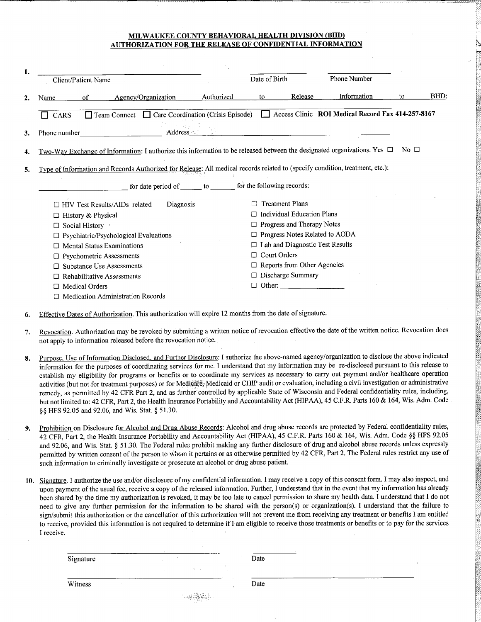## MILWAUKEE COUNTY BEHAVIORAL HEALTH DIVISION (BHD) **AUTHORIZATION FOR THE RELEASE OF CONFIDENTIAL INFORMATION**

| 1. | <b>Client/Patient Name</b>                                                                                                    |            | Date of Birth |                                        | Phone Number                                      |                      |      |
|----|-------------------------------------------------------------------------------------------------------------------------------|------------|---------------|----------------------------------------|---------------------------------------------------|----------------------|------|
|    |                                                                                                                               |            |               |                                        |                                                   |                      |      |
| 2. | Agency/Organization<br>οf<br>Name                                                                                             | Authorized | to            | Release                                | Information                                       | to                   | BHD: |
|    | $\Box$ Team Connect $\Box$ Care Coordination (Crisis Episode)<br>CARS                                                         |            |               |                                        | Access Clinic ROI Medical Record Fax 414-257-8167 |                      |      |
| 3. | Address 2012<br>Phone number                                                                                                  |            |               |                                        |                                                   |                      |      |
| 4. | Two-Way Exchange of Information: I authorize this information to be released between the designated organizations. Yes $\Box$ |            |               |                                        |                                                   | $\mathrm{No} \ \Box$ |      |
| 5. | Type of Information and Records Authorized for Release: All medical records related to (specify condition, treatment, etc.):  |            |               |                                        |                                                   |                      |      |
|    | for date period of _______ to ________ for the following records:                                                             |            |               |                                        |                                                   |                      |      |
|    | Diagnosis<br>HIV Test Results/AIDs-related                                                                                    |            |               | <b>Treatment Plans</b>                 |                                                   |                      |      |
|    | History & Physical<br>□                                                                                                       |            |               | $\Box$ Individual Education Plans      |                                                   |                      |      |
|    | Social History                                                                                                                |            |               | $\Box$ Progress and Therapy Notes      |                                                   |                      |      |
|    | Psychiatric/Psychological Evaluations                                                                                         |            |               | $\Box$ Progress Notes Related to AODA  |                                                   |                      |      |
|    | <b>Mental Status Examinations</b>                                                                                             |            |               | $\Box$ Lab and Diagnostic Test Results |                                                   |                      |      |
|    | Psychometric Assessments                                                                                                      |            | п             | <b>Court Orders</b>                    |                                                   |                      |      |
|    | <b>Substance Use Assessments</b>                                                                                              |            |               | $\Box$ Reports from Other Agencies     |                                                   |                      |      |
|    | Rehabilitative Assessments                                                                                                    |            |               | $\Box$ Discharge Summary               |                                                   |                      |      |
|    | <b>Medical Orders</b>                                                                                                         |            |               | $\Box$ Other:                          |                                                   |                      |      |
|    | <b>Medication Administration Records</b>                                                                                      |            |               |                                        |                                                   |                      |      |

- Effective Dates of Authorization. This authorization will expire 12 months from the date of signature. 6.
- Revocation. Authorization may be revoked by submitting a written notice of revocation effective the date of the written notice. Revocation does  $7.$ not apply to information released before the revocation notice.
- Purpose, Use of Information Disclosed, and Further Disclosure: I authorize the above-named agency/organization to disclose the above indicated 8. information for the purposes of coordinating services for me. I understand that my information may be re-disclosed pursuant to this release to establish my eligibility for programs or benefits or to coordinate my services as necessary to carry out payment and/or healthcare operation activities (but not for treatment purposes) or for Medicare, Medicaid or CHIP audit or evaluation, including a civil investigation or administrative remedy, as permitted by 42 CFR Part 2, and as further controlled by applicable State of Wisconsin and Federal confidentiality rules, including, but not limited to: 42 CFR, Part 2, the Health Insurance Portability and Accountability Act (HIPAA), 45 C.F.R. Parts 160 & 164, Wis. Adm. Code §§ HFS 92.05 and 92.06, and Wis. Stat. § 51.30.
- Prohibition on Disclosure for Alcohol and Drug Abuse Records: Alcohol and drug abuse records are protected by Federal confidentiality rules,  $\mathbf{Q}$ 42 CFR, Part 2, the Health Insurance Portability and Accountability Act (HIPAA), 45 C.F.R. Parts 160 & 164, Wis. Adm. Code §§ HFS 92.05 and 92.06, and Wis. Stat. § 51.30. The Federal rules prohibit making any further disclosure of drug and alcohol abuse records unless expressly permitted by written consent of the person to whom it pertains or as otherwise permitted by 42 CFR, Part 2. The Federal rules restrict any use of such information to criminally investigate or prosecute an alcohol or drug abuse patient.
- 10. Signature. I authorize the use and/or disclosure of my confidential information. I may receive a copy of this consent form. I may also inspect, and upon payment of the usual fee, receive a copy of the released information. Further, I understand that in the event that my information has already been shared by the time my authorization is revoked, it may be too late to cancel permission to share my health data. I understand that I do not need to give any further permission for the information to be shared with the person(s) or organization(s). I understand that the failure to sign/submit this authorization or the cancellation of this authorization will not prevent me from receiving any treatment or benefits I am entitled to receive, provided this information is not required to determine if I am eligible to receive those treatments or benefits or to pay for the services I receive.

Signature

Date

Witness

Date